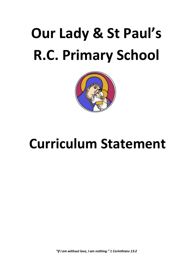# **Our Lady & St Paul's R.C. Primary School**



# **Curriculum Statement**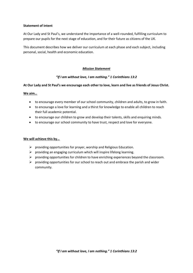#### **Statement of intent**

At Our Lady and St Paul's, we understand the importance of a well-rounded, fulfilling curriculum to prepare our pupils for the next stage of education, and for their future as citizens of the UK.

This document describes how we deliver our curriculum at each phase and each subject, including personal, social, health and economic education.

#### *Mission Statement*

# *"If I am without love, I am nothing." 1 Corinthians 13:2*

#### **At Our Lady and St Paul's we encourage each other to love, learn and live as friends of Jesus Christ.**

**We aim…**

- to encourage every member of our school community, children and adults, to grow in faith.
- to encourage a love for learning and a thirst for knowledge to enable all children to reach their full academic potential.
- to encourage our children to grow and develop their talents, skills and enquiring minds.
- to encourage our school community to have trust, respect and love for everyone.

#### **We will achieve this by…**

- $\triangleright$  providing opportunities for prayer, worship and Religious Education.
- $\triangleright$  providing an engaging curriculum which will inspire lifelong learning.
- $\triangleright$  providing opportunities for children to have enriching experiences beyond the classroom.
- $\triangleright$  providing opportunities for our school to reach out and embrace the parish and wider community.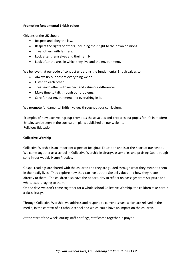#### **Promoting fundamental British values**

Citizens of the UK should:

- Respect and obey the law.
- Respect the rights of others, including their right to their own opinions.
- Treat others with fairness.
- Look after themselves and their family.
- Look after the area in which they live and the environment.

We believe that our code of conduct underpins the fundamental British values to:

- Always try our best at everything we do.
- Listen to each other.
- Treat each other with respect and value our differences.
- Make time to talk through our problems.
- Care for our environment and everything in it.

We promote fundamental British values throughout our curriculum.

Examples of how each year group promotes these values and prepares our pupils for life in modern Britain, can be seen in the curriculum plans published on our website. Religious Education

### **Collective Worship**

Collective Worship is an important aspect of Religious Education and is at the heart of our school. We come together as a school in Collective Worship in Liturgy, assemblies and praising God through song in our weekly Hymn Practice.

Gospel readings are shared with the children and they are guided through what they mean to them in their daily lives. They explore how they can live out the Gospel values and how they relate directly to them. The children also have the opportunity to reflect on passages from Scripture and what Jesus is saying to them.

On the days we don't come together for a whole school Collective Worship, the children take part in a class liturgy.

Through Collective Worship, we address and respond to current issues, which are relayed in the media, in the context of a Catholic school and which could have an impact on the children.

At the start of the week, during staff briefings, staff come together in prayer.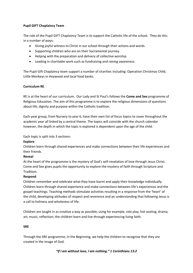# **Pupil GIFT Chaplaincy Team**

The role of the Pupil GIFT Chaplaincy Team is to support the Catholic life of the school. They do this in a number of ways:

- Giving joyful witness to Christ in our school through their actions and words.
- Supporting children who are on their Sacramental journey.
- Helping with the preparation and delivery of collective worship.
- Leading in charitable work such as fundraising and raising awareness.

The Pupil Gift Chaplaincy team support a number of charities including: Operation Christmas Child, Little Monkeys in Heywood and local food banks.

# **Curriculum RE**

RE is at the heart of our curriculum. Our Lady and St Paul's follows the **Come and See** programme of Religious Education. The aim of this programme is to explore the religious dimensions of questions about life, dignity and purpose within the Catholic tradition.

Each year group, from Nursery to year 6, have their own list of focus topics to cover throughout the academic year all linked by a central theme. The topics will coincide with the church calendar however, the depth in which the topic is explored is dependent upon the age of the child.

Each topic is split into 3 sections-

# **Explore**

Children learn through shared experiences and make connections between their life experiences and their friends.

# **Reveal**

At the heart of the programme is the mystery of God's self-revelation of love through Jesus Christ. Come and See gives pupils the opportunity to explore the mystery of faith through Scripture and Tradition.

# **Respond**

Children remember and celebrate what they have learnt and apply their knowledge individually. Children learn through shared experience and make connections between life's experiences and the gospel teachings. Teaching methods stimulate activities resulting in a response from the 'heart' of the child, developing attitudes of respect and reverence and an understanding that following Jesus is a call to holiness and wholeness of life.

Children are taught in as creative a way as possible, using for example, role play, hot seating, drama, art, music, reflection; the children learn and live through experiencing living faith.

# **SRE**

Through the SRE programme, In the Beginning, we help the children to recognise that they are created in the image of God.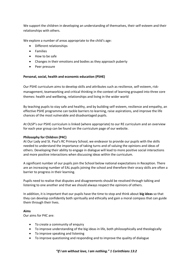We support the children in developing an understanding of themselves, their self-esteem and their relationships with others.

We explore a number of areas appropriate to the child's age:

- Different relationships
- Families
- How to be safe
- Changes in their emotions and bodies as they approach puberty
- Peer pressure

#### **Personal, social, health and economic education (PSHE)**

Our PSHE curriculum aims to develop skills and attributes such as resilience, self-esteem, riskmanagement, teamworking and critical thinking in the context of learning grouped into three core themes: health and wellbeing, relationships and living in the wider world

By teaching pupils to stay safe and healthy, and by building self-esteem, resilience and empathy, an effective PSHE programme can tackle barriers to learning, raise aspirations, and improve the life chances of the most vulnerable and disadvantaged pupils.

At OLSP's our PSHE curriculum is linked (where appropriate) to our RE curriculum and an overview for each year group can be found on the curriculum page of our website.

#### **Philosophy for Children (P4C)**

At Our Lady and St. Paul's RC Primary School, we endeavor to provide our pupils with the skills needed to understand the importance of taking turns and of valuing the opinions and ideas of others. Developing their ability to engage in dialogue will lead to more positive social interactions and more positive interactions when discussing ideas within the curriculum.

A significant number of our pupils join the School below national expectations in Reception. There are an increasing number of EAL pupils joining the school and therefore their oracy skills are often a barrier to progress in their learning.

Pupils need to realise that disputes and disagreements should be resolved through talking and listening to one another and that we should always respect the opinions of others.

In addition, it is important that our pupils have the time to stop and think about **big ideas** so that they can develop confidently both spiritually and ethically and gain a moral compass that can guide them through their lives.

#### **Aims**

Our aims for P4C are:

- To create a community of enquiry
- To improve understanding of the big ideas in life, both philosophically and theologically
- To improve speaking and listening
- To improve questioning and responding and to improve the quality of dialogue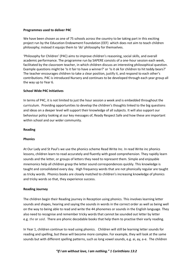#### **Programmes used to deliver P4C**

We have been chosen as one of 75 schools across the country to be taking part in this exciting project run by the Education Endowment Foundation (EEF) which does not aim to teach children philosophy; instead it equips them to 'do' philosophy for themselves.

'Philosophy for Children' (P4C) aims to improve children's reasoning, social skills, and overall academic performance. The programme run by SAPERE consists of a one-hour session each week, facilitated by the classroom teacher, in which children discuss an interesting philosophical question. Example questions might be 'Is it fair to have a winner?' or 'Is it ok for children to hit teddy bears?' The teacher encourages children to take a clear position, justify it, and respond to each other's contributions. P4C is introduced Nursery and continues to be developed through each year group all the way up to Year 6.

#### **School Wide P4C Initiatives**

In terms of P4C, it is not limited to just the hour session a week and is embedded throughout the curriculum. Providing opportunities to develop the children's thoughts linked to the big questions and ideas on a deeper level will support their knowledge of all subjects. It will also support our behaviour policy looking at our key messages of, Ready Respect Safe and how these are important within school and our wider community.

#### **Reading**

#### **Phonics**

At Our Lady and St Paul's we use the phonics scheme Read Write Inc. In read Write inc phonics lessons, children learn to read accurately and fluently with good comprehension. They rapidly learn sounds and the letter, or groups of letters they need to represent them. Simple and enjoyable mnemonics help all children grasp the letter sound correspondences quickly. This knowledge is taught and consolidated every day. High frequency words that are not phonically regular are taught as tricky words. Phonics books are closely matched to children's increasing knowledge of phonics and tricky words so that, they experience success.

#### **Reading Journey**

The children begin their Reading journey in Reception using phonics. This involves learning letter sounds and shapes, hearing and saying the sounds in words in the correct order as well as being well on the way to being able to read and write the 44 phonemes or sounds in the English language. They also need to recognise and remember tricky words that cannot be sounded out letter by letter e.g. *the* or *said*. There are phonic decodable books that help them to practise their early reading.

In Year 1, children continue to read using phonics. Children will still be learning letter sounds for reading and spelling, but these will become more complex. For example, they will look at the same sounds but with different spelling patterns, such as long vowel sounds, e.g. ai, ay, a-e. The children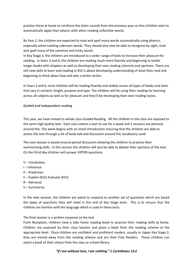practice these at home to reinforce the letter sounds from the previous year so that children start to automatically apply their phonic skills when reading unfamiliar words.

By Year 2, the children are expected to read and spell many words automatically using phonics, especially when tackling unknown words. They should also now be able to recognise by sight, read and spell many of the common and tricky words.

In Key Stage 2, the children are introduced to a wider range of texts to increase their pleasure for reading. In Years 3 and 4, the children are reading much more fluently and beginning to tackle longer books with chapters as well as developing their own reading interests and opinions. There are still new skills to learn and reading in KS2 is about developing understanding of what they read and beginning to think about how and why a writer writes.

In Years 5 and 6, most children will be reading fluently and widely across all types of books and texts that vary in content, length, purpose and type. The children will be using their reading for learning across all subjects as well as for pleasure and they'll be developing their own reading tastes.

# **Guided and independent reading**

This year, we have moved to whole class Guided Reading. All the children in the class are exposed to the same high quality text. Each class selects a text to use for a week and 5 sessions are planned around this. The week begins with an initial introduction ensuring that the children are able to access the text through a lot of book talk and discussion around the vocabulary used.

The next session is based around paired discussion allowing the children to practice their summarising skills. In this session the children will also be able to debate their opinions of the text. On the third day children will answer VIPERS questions.

- V Vocabulary
- I Inference
- P Prediction
- E Explain (KS1) Evaluate (KS2)
- R Retrieval
- S Summarise

In the next session, the children are asked to respond to another set of questions which are based the types of questions they will meet in the end of Key Stage tests. This is to ensure that the children are familiar with the language which is used in these tests.

The final session is a written response to the text.

From Reception, children have a take home reading book to practise their reading skills at home. Children are assessed by their class teacher and given a book from the reading scheme at the appropriate level. Once children are confident and proficient readers, usually in Upper Key Stage 2, they are moved away from the reading scheme and are then Free Readers. These children can select a book of their choice from the class or school library.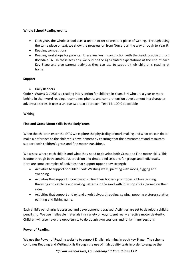#### **Whole School Reading events**

- Each year, the whole school uses a text in order to create a piece of writing. Through using the same piece of text, we show the progression from Nursery all the way through to Year 6.
- Reading competitions
- Reading workshops for parents. These are run in conjunction with the Reading advisor from Rochdale LA. In these sessions, we outline the age related expectations at the end of each Key Stage and give parents activities they can use to support their children's reading at home.

#### **Support**

Daily Readers

Code X. *Project X CODE* is a reading intervention for children in Years 2–4 who are a year or more behind in their word reading. It combines phonics and comprehension development in a character adventure series. It uses a unique two-text approach: Text 1 is 100% decodable

#### **Writing**

# **Fine and Gross Motor skills in the Early Years.**

When the children enter the EYFS we explore the physicality of mark making and what we can do to make a difference to the children's development by ensuring that the environment and resources support both children's gross and fine motor transitions.

We assess where each child is and what they need to develop both Gross and Fine motor skills. This is done through both continuous provision and timetabled sessions for groups and individuals. Here are some examples of activities that support upper body strength

- Activities to support Shoulder Pivot: Washing walls, painting with mops, digging and sweeping.
- Activities that support Elbow pivot: Pulling their bodies up on ropes, ribbon twirling, throwing and catching and making patterns in the sand with lolly pop sticks (turned on their sides.
- Activities that support and extend a wrist pivot: threading, sewing, popping pictures splatter painting and fishing game.

Each child's pencil grip is assessed and development is tracked. Activities are set to develop a child's pencil grip. We use malleable materials in a variety of ways to get really effective motor dexterity. Children will also have the opportunity to do dough gym sessions and funky finger sessions.

# **Power of Reading**

We use the Power of Reading website to support English planning in each Key Stage. The scheme combines Reading and Writing skills through the use of high quality texts in order to engage the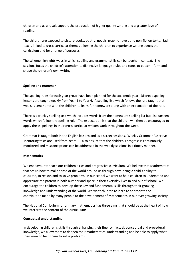children and as a result support the production of higher quality writing and a greater love of reading.

The children are exposed to picture books, poetry, novels, graphic novels and non-fiction texts. Each text is linked to cross curricular themes allowing the children to experience writing across the curriculum and for a range of purposes.

The scheme highlights ways in which spelling and grammar skills can be taught in context. The sessions focus the children's attention to distinctive language styles and tones to better inform and shape the children's own writing.

#### **Spelling and grammar**

The spelling rules for each year group have been planned for the academic year. Discreet spelling lessons are taught weekly from Year 1 to Year 6. A spelling list, which follows the rule taught that week, is sent home with the children to learn for homework along with an explanation of the rule.

There is a weekly spelling test which includes words from the homework spelling list but also unseen words which follow the spelling rule. The expectation is that the children will then be encouraged to apply these spellings in their cross curricular written work throughout the week.

Grammar is taught both in the English lessons and as discreet sessions. Weekly Grammar Assertive Mentoring tests are used from Years  $1 - 6$  to ensure that the children's progress is continuously monitored and misconceptions can be addressed in the weekly sessions in a timely manner.

#### **Mathematics**

We endeavour to teach our children a rich and progressive curriculum. We believe that Mathematics teaches us how to make sense of the world around us through developing a child's ability to calculate, to reason and to solve problems. In our school we want to help children to understand and appreciate the pattern in both number and space in their everyday lives in and out of school. We encourage the children to develop these key and fundamental skills through their growing knowledge and understanding of the world. We want children to learn to appreciate the contribution made by many people to the development of Mathematics in our ever growing society.

The National Curriculum for primary mathematics has three aims that should be at the heart of how we interpret the content of the curriculum:

#### **Conceptual understanding**

In developing children's skills through enhancing their fluency, factual, conceptual and procedural knowledge, we allow them to deepen their mathematical understanding and be able to apply what they know to help them to solve problems.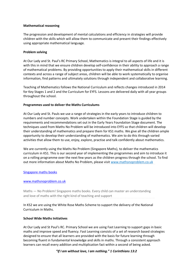#### **Mathematical reasoning**

The progression and development of mental calculations and efficiency in strategies will provide children with the skills which will allow them to communicate and present their findings effectively using appropriate mathematical language.

#### **Problem solving**

At Our Lady and St. Paul's RC Primary School, Mathematics is integral to all aspects of life and it is with this in mind that we ensure children develop self-confidence in their ability to approach a range of mathematical problems. By providing opportunities to apply their mathematical skills in different contexts and across a range of subject areas, children will be able to work systematically to organise information, find patterns and ultimately solutions through independent and collaborative learning.

Teaching of Mathematics follows the National Curriculum and reflects changes introduced in 2014 for Key Stages 1 and 2 and the Curriculum for EYFS. Lessons are delivered daily with all year groups throughout the school.

#### **Programmes used to deliver the Maths Curriculums**

At Our Lady and St. Pauls we use a range of strategies in the early years to introduce children to numbers and number concepts. Work undertaken within the Foundation Stage is guided by the requirements and recommendations set out in the Early Years Foundation Stage document. The techniques used from Maths No Problem will be introduced into EYFS so that children will develop their understanding of mathematics and prepare them for KS1 maths. We give all the children ample opportunity to develop their understanding of mathematics. We aim to do this through varied activities that allow them to use, enjoy, explore, practise and talk confidently about mathematics.

We are currently using the Maths No Problem (Singapore Maths), to deliver the mathematics curriculum in KS1. This is our second year of implementing the programmes and aim to introduce it on a rolling programme over the next few years as the children progress through the school. To find out more information about Maths No Problem, please visit [www.mathsnoproblem.co.uk](http://www.mathsnoproblem.co.uk/)

[Singapore maths books](http://www.mathsnoproblem.co.uk/)

#### [www.mathsnoproblem.co.uk](http://www.mathsnoproblem.co.uk/)

Maths — No Problem! Singapore maths books. Every child can master an understanding and love of maths with the right kind of teaching and support

In KS2 we are using the White Rose Maths Scheme to support the delivery of the National Curriculum in Maths.

#### **School Wide Maths Initiatives**

At Our Lady and St Paul's RC. Primary School we are using Fast Learning to support gaps in basic maths and improve speed and fluency. Fast Learning consists of a set of research based strategies designed to ensure that all learners are provided with the basis for future learning through becoming fluent in fundamental knowledge and skills in maths. Through a consistent approach learners can recall every addition and multiplication fact within a second of being asked.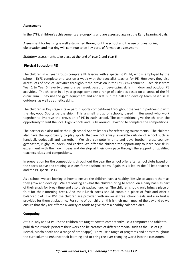#### **Assessment**

In the EYFS, children's achievements are on-going and are assessed against the Early Learning Goals.

Assessment for learning is well established throughout the school and the use of questioning, observation and marking will continue to be key parts of formative assessment.

Statutory assessments take place at the end of Year 2 and Year 6.

#### **Physical Education (PE)**

The children in all year groups complete PE lessons with a specialist PE TA, who is employed by the school. EYFS complete one session a week with the specialist teacher for PE. However, they also access lots of physical activities throughout the provision in the EYFS environment. Each class from Year 1 to Year 6 have two sessions per week based on developing skills in indoor and outdoor PE activities. The children in all year groups complete a range of activities based on all areas of the PE curriculum. They use the gym equipment and apparatus in the hall and develop team based skills outdoors, as well as athletics skills.

The children in Key stage 2 take part in sports competitions throughout the year in partnership with the Heywood Sports partnership. This a small group of schools, based in Heywood who work together to improve the provision of PE in each school. The competitions give the children the opportunity to visit the local High Schools and Clubs around Heywood to complete the competitions.

The partnership also utilise the High school Sports leaders for refereeing tournaments. The children also have the opportunity to play sports that are not always available outside of school such as handball, dodgeball and basketball. We also compete in girls and boys football, cross-country, gymnastics, rugby, rounders' and cricket. We offer the children the opportunity to learn new skills, experiment with their own ideas and develop at their own pace through the support of qualified teachers, clubs and competitions.

In preparation for the competitions throughout the year the school offer after school clubs based on the sports above and training sessions for the school teams. Again this is led by the PE lead teacher and the PE specialist TA.

As a school, we are looking at how to ensure the children have a healthy lifestyle to support them as they grow and develop. We are looking at what the children bring to school on a daily basis as part of their snack for break time and also their packed lunches. The children should only bring a piece of fruit for their morning break. And their lunch boxes should contain a piece of fruit and offer a balanced diet. For KS1 the children are provided with universal free school meals and also fruit is provided for them at playtime. For some of our children this is their main meal of the day and so we ensure that they are offered a variety of foods to give them a healthy balanced diet.

# **Computing**

At Our Lady and St Paul's the children are taught how to competently use a computer and tablet to publish their work, perform their work and be creators of different media (such as the use of Hp Reveal, Morfo booth and a range of other apps). They use a range of programs and apps throughout the curriculum to enhance their learning and to bring the ever changing world into the classroom.